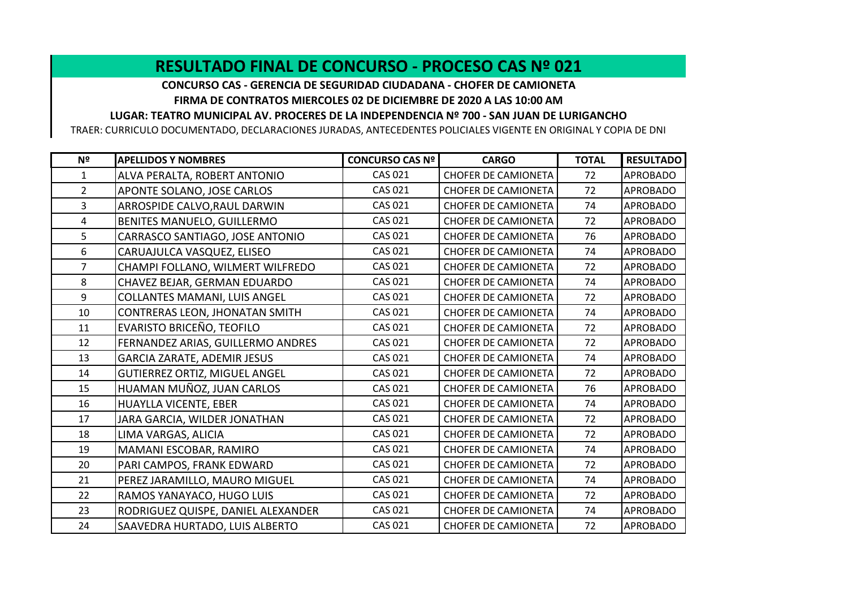## **RESULTADO FINAL DE CONCURSO - PROCESO CAS Nº 021**

**CONCURSO CAS - GERENCIA DE SEGURIDAD CIUDADANA - CHOFER DE CAMIONETA FIRMA DE CONTRATOS MIERCOLES 02 DE DICIEMBRE DE 2020 A LAS 10:00 AM**

**LUGAR: TEATRO MUNICIPAL AV. PROCERES DE LA INDEPENDENCIA Nº 700 - SAN JUAN DE LURIGANCHO**

TRAER: CURRICULO DOCUMENTADO, DECLARACIONES JURADAS, ANTECEDENTES POLICIALES VIGENTE EN ORIGINAL Y COPIA DE DNI

| Nº             | <b>APELLIDOS Y NOMBRES</b>           | <b>CONCURSO CAS Nº</b> | <b>CARGO</b>               | <b>TOTAL</b> | <b>RESULTADO</b> |
|----------------|--------------------------------------|------------------------|----------------------------|--------------|------------------|
| 1              | ALVA PERALTA, ROBERT ANTONIO         | <b>CAS 021</b>         | <b>CHOFER DE CAMIONETA</b> | 72           | <b>APROBADO</b>  |
| $\overline{2}$ | APONTE SOLANO, JOSE CARLOS           | <b>CAS 021</b>         | <b>CHOFER DE CAMIONETA</b> | 72           | <b>APROBADO</b>  |
| 3              | ARROSPIDE CALVO, RAUL DARWIN         | <b>CAS 021</b>         | <b>CHOFER DE CAMIONETA</b> | 74           | <b>APROBADO</b>  |
| 4              | BENITES MANUELO, GUILLERMO           | <b>CAS 021</b>         | <b>CHOFER DE CAMIONETA</b> | 72           | <b>APROBADO</b>  |
| 5              | CARRASCO SANTIAGO, JOSE ANTONIO      | <b>CAS 021</b>         | <b>CHOFER DE CAMIONETA</b> | 76           | <b>APROBADO</b>  |
| 6              | CARUAJULCA VASQUEZ, ELISEO           | <b>CAS 021</b>         | <b>CHOFER DE CAMIONETA</b> | 74           | <b>APROBADO</b>  |
| $\overline{7}$ | CHAMPI FOLLANO, WILMERT WILFREDO     | <b>CAS 021</b>         | <b>CHOFER DE CAMIONETA</b> | 72           | <b>APROBADO</b>  |
| 8              | CHAVEZ BEJAR, GERMAN EDUARDO         | <b>CAS 021</b>         | <b>CHOFER DE CAMIONETA</b> | 74           | <b>APROBADO</b>  |
| 9              | <b>COLLANTES MAMANI, LUIS ANGEL</b>  | <b>CAS 021</b>         | <b>CHOFER DE CAMIONETA</b> | 72           | <b>APROBADO</b>  |
| 10             | CONTRERAS LEON, JHONATAN SMITH       | <b>CAS 021</b>         | <b>CHOFER DE CAMIONETA</b> | 74           | <b>APROBADO</b>  |
| 11             | EVARISTO BRICEÑO, TEOFILO            | <b>CAS 021</b>         | <b>CHOFER DE CAMIONETA</b> | 72           | <b>APROBADO</b>  |
| 12             | FERNANDEZ ARIAS, GUILLERMO ANDRES    | CAS 021                | <b>CHOFER DE CAMIONETA</b> | 72           | <b>APROBADO</b>  |
| 13             | <b>GARCIA ZARATE, ADEMIR JESUS</b>   | <b>CAS 021</b>         | <b>CHOFER DE CAMIONETA</b> | 74           | <b>APROBADO</b>  |
| 14             | <b>GUTIERREZ ORTIZ, MIGUEL ANGEL</b> | <b>CAS 021</b>         | <b>CHOFER DE CAMIONETA</b> | 72           | <b>APROBADO</b>  |
| 15             | HUAMAN MUÑOZ, JUAN CARLOS            | <b>CAS 021</b>         | <b>CHOFER DE CAMIONETA</b> | 76           | <b>APROBADO</b>  |
| 16             | HUAYLLA VICENTE, EBER                | <b>CAS 021</b>         | <b>CHOFER DE CAMIONETA</b> | 74           | <b>APROBADO</b>  |
| 17             | JARA GARCIA, WILDER JONATHAN         | <b>CAS 021</b>         | <b>CHOFER DE CAMIONETA</b> | 72           | <b>APROBADO</b>  |
| 18             | LIMA VARGAS, ALICIA                  | <b>CAS 021</b>         | <b>CHOFER DE CAMIONETA</b> | 72           | <b>APROBADO</b>  |
| 19             | MAMANI ESCOBAR, RAMIRO               | <b>CAS 021</b>         | <b>CHOFER DE CAMIONETA</b> | 74           | <b>APROBADO</b>  |
| 20             | PARI CAMPOS, FRANK EDWARD            | <b>CAS 021</b>         | <b>CHOFER DE CAMIONETA</b> | 72           | <b>APROBADO</b>  |
| 21             | PEREZ JARAMILLO, MAURO MIGUEL        | <b>CAS 021</b>         | <b>CHOFER DE CAMIONETA</b> | 74           | <b>APROBADO</b>  |
| 22             | RAMOS YANAYACO, HUGO LUIS            | <b>CAS 021</b>         | <b>CHOFER DE CAMIONETA</b> | 72           | <b>APROBADO</b>  |
| 23             | RODRIGUEZ QUISPE, DANIEL ALEXANDER   | <b>CAS 021</b>         | <b>CHOFER DE CAMIONETA</b> | 74           | <b>APROBADO</b>  |
| 24             | SAAVEDRA HURTADO, LUIS ALBERTO       | <b>CAS 021</b>         | <b>CHOFER DE CAMIONETA</b> | 72           | <b>APROBADO</b>  |